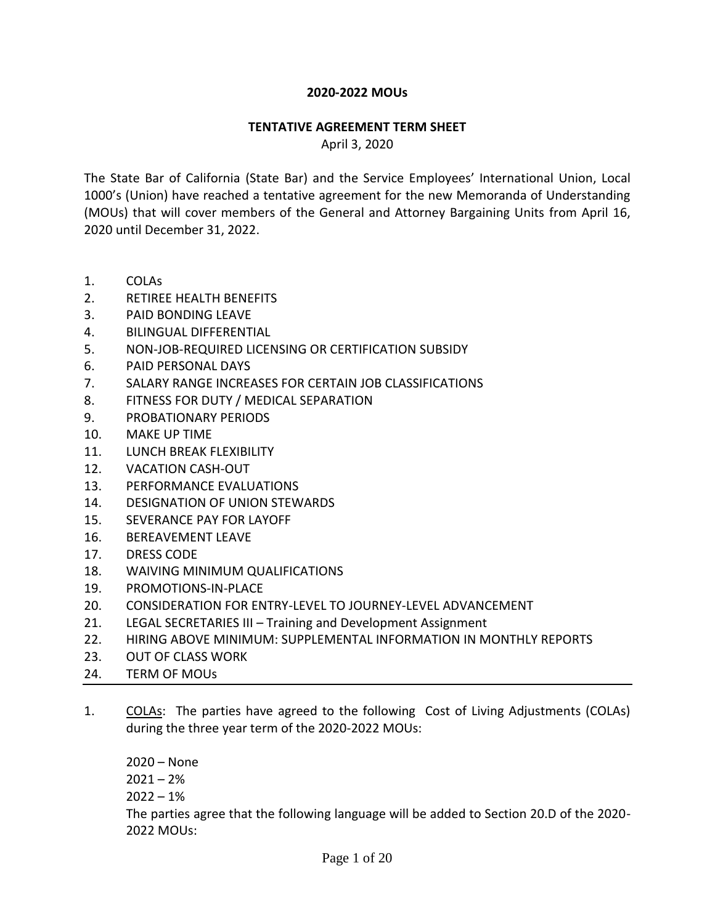### **2020-2022 MOUs**

#### **TENTATIVE AGREEMENT TERM SHEET**

April 3, 2020

The State Bar of California (State Bar) and the Service Employees' International Union, Local 1000's (Union) have reached a tentative agreement for the new Memoranda of Understanding (MOUs) that will cover members of the General and Attorney Bargaining Units from April 16, 2020 until December 31, 2022.

- 1. COLAs
- 2. RETIREE HEALTH BENEFITS
- 3. PAID BONDING LEAVE
- 4. BILINGUAL DIFFERENTIAL
- 5. NON-JOB-REQUIRED LICENSING OR CERTIFICATION SUBSIDY
- 6. PAID PERSONAL DAYS
- 7. SALARY RANGE INCREASES FOR CERTAIN JOB CLASSIFICATIONS
- 8. FITNESS FOR DUTY / MEDICAL SEPARATION
- 9. PROBATIONARY PERIODS
- 10. MAKE UP TIME
- 11. LUNCH BREAK FLEXIBILITY
- 12. VACATION CASH-OUT
- 13. PERFORMANCE EVALUATIONS
- 14. DESIGNATION OF UNION STEWARDS
- 15. SEVERANCE PAY FOR LAYOFF
- 16. BEREAVEMENT LEAVE
- 17. DRESS CODE
- 18. WAIVING MINIMUM QUALIFICATIONS
- 19. PROMOTIONS-IN-PLACE
- 20. CONSIDERATION FOR ENTRY-LEVEL TO JOURNEY-LEVEL ADVANCEMENT
- 21. LEGAL SECRETARIES III Training and Development Assignment
- 22. HIRING ABOVE MINIMUM: SUPPLEMENTAL INFORMATION IN MONTHLY REPORTS
- 23. OUT OF CLASS WORK
- 24. TERM OF MOUs
- 1. COLAs: The parties have agreed to the following Cost of Living Adjustments (COLAs) during the three year term of the 2020-2022 MOUs:

2020 – None  $2021 - 2%$  $2022 - 1%$ The parties agree that the following language will be added to Section 20.D of the 2020- 2022 MOUs: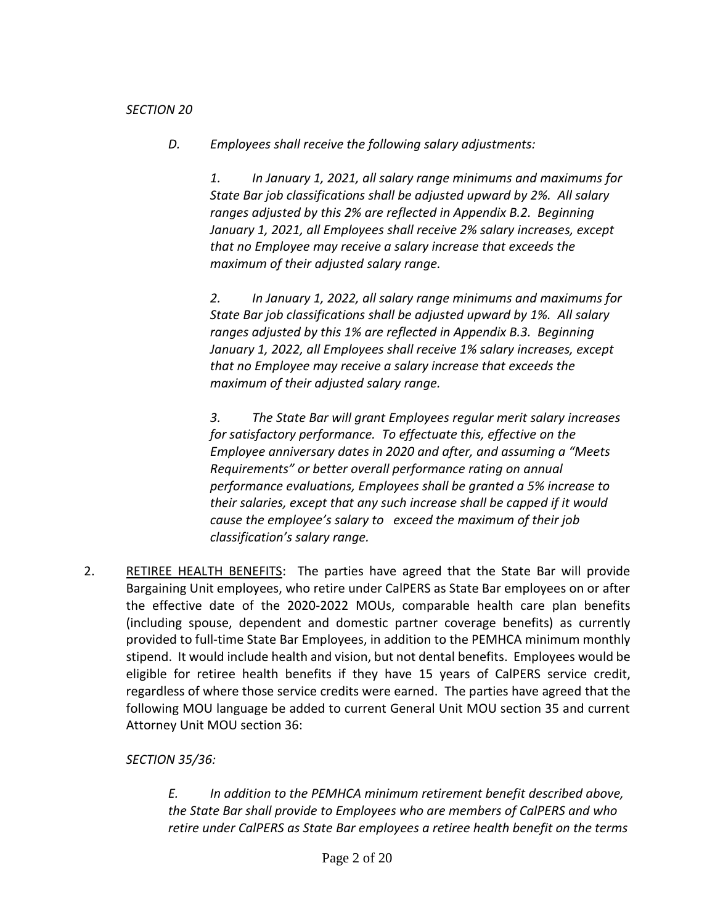### *SECTION 20*

*D. Employees shall receive the following salary adjustments:*

*1. In January 1, 2021, all salary range minimums and maximums for State Bar job classifications shall be adjusted upward by 2%. All salary ranges adjusted by this 2% are reflected in Appendix B.2. Beginning January 1, 2021, all Employees shall receive 2% salary increases, except that no Employee may receive a salary increase that exceeds the maximum of their adjusted salary range.*

*2. In January 1, 2022, all salary range minimums and maximums for State Bar job classifications shall be adjusted upward by 1%. All salary ranges adjusted by this 1% are reflected in Appendix B.3. Beginning January 1, 2022, all Employees shall receive 1% salary increases, except that no Employee may receive a salary increase that exceeds the maximum of their adjusted salary range.*

*3. The State Bar will grant Employees regular merit salary increases for satisfactory performance. To effectuate this, effective on the Employee anniversary dates in 2020 and after, and assuming a "Meets Requirements" or better overall performance rating on annual performance evaluations, Employees shall be granted a 5% increase to their salaries, except that any such increase shall be capped if it would cause the employee's salary to exceed the maximum of their job classification's salary range.*

2. RETIREE HEALTH BENEFITS: The parties have agreed that the State Bar will provide Bargaining Unit employees, who retire under CalPERS as State Bar employees on or after the effective date of the 2020-2022 MOUs, comparable health care plan benefits (including spouse, dependent and domestic partner coverage benefits) as currently provided to full-time State Bar Employees, in addition to the PEMHCA minimum monthly stipend. It would include health and vision, but not dental benefits. Employees would be eligible for retiree health benefits if they have 15 years of CalPERS service credit, regardless of where those service credits were earned. The parties have agreed that the following MOU language be added to current General Unit MOU section 35 and current Attorney Unit MOU section 36:

# *SECTION 35/36:*

*E. In addition to the PEMHCA minimum retirement benefit described above, the State Bar shall provide to Employees who are members of CalPERS and who retire under CalPERS as State Bar employees a retiree health benefit on the terms*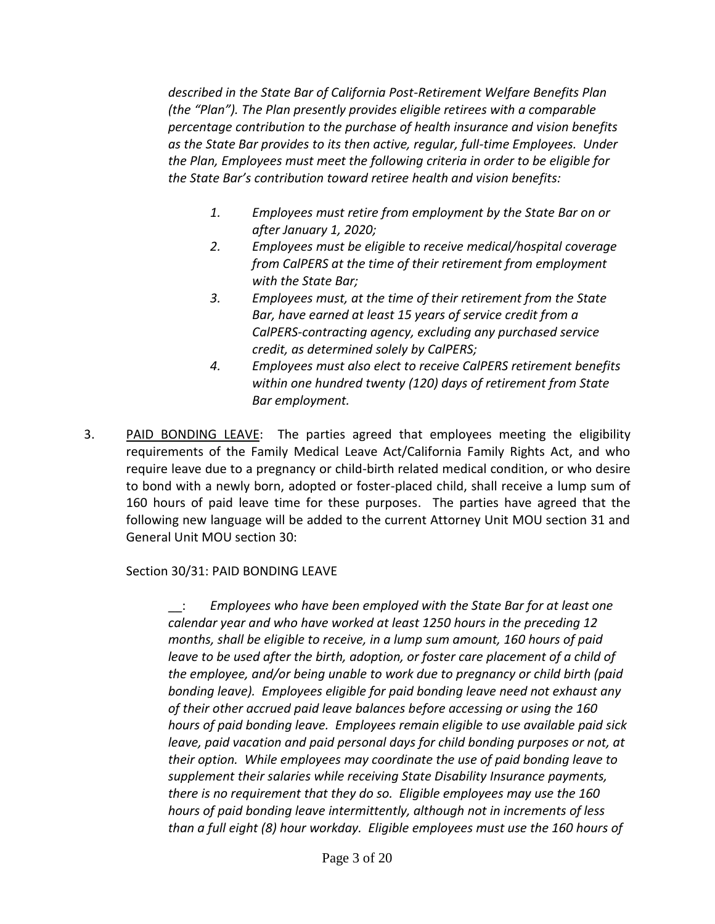*described in the State Bar of California Post-Retirement Welfare Benefits Plan (the "Plan"). The Plan presently provides eligible retirees with a comparable percentage contribution to the purchase of health insurance and vision benefits as the State Bar provides to its then active, regular, full-time Employees. Under the Plan, Employees must meet the following criteria in order to be eligible for the State Bar's contribution toward retiree health and vision benefits:* 

- *1. Employees must retire from employment by the State Bar on or after January 1, 2020;*
- *2. Employees must be eligible to receive medical/hospital coverage from CalPERS at the time of their retirement from employment with the State Bar;*
- *3. Employees must, at the time of their retirement from the State Bar, have earned at least 15 years of service credit from a CalPERS-contracting agency, excluding any purchased service credit, as determined solely by CalPERS;*
- *4. Employees must also elect to receive CalPERS retirement benefits within one hundred twenty (120) days of retirement from State Bar employment.*
- 3. PAID BONDING LEAVE: The parties agreed that employees meeting the eligibility requirements of the Family Medical Leave Act/California Family Rights Act, and who require leave due to a pregnancy or child-birth related medical condition, or who desire to bond with a newly born, adopted or foster-placed child, shall receive a lump sum of 160 hours of paid leave time for these purposes. The parties have agreed that the following new language will be added to the current Attorney Unit MOU section 31 and General Unit MOU section 30:

## Section 30/31: PAID BONDING LEAVE

\_\_: *Employees who have been employed with the State Bar for at least one calendar year and who have worked at least 1250 hours in the preceding 12 months, shall be eligible to receive, in a lump sum amount, 160 hours of paid leave to be used after the birth, adoption, or foster care placement of a child of the employee, and/or being unable to work due to pregnancy or child birth (paid bonding leave). Employees eligible for paid bonding leave need not exhaust any of their other accrued paid leave balances before accessing or using the 160 hours of paid bonding leave. Employees remain eligible to use available paid sick leave, paid vacation and paid personal days for child bonding purposes or not, at their option. While employees may coordinate the use of paid bonding leave to supplement their salaries while receiving State Disability Insurance payments, there is no requirement that they do so. Eligible employees may use the 160 hours of paid bonding leave intermittently, although not in increments of less than a full eight (8) hour workday. Eligible employees must use the 160 hours of*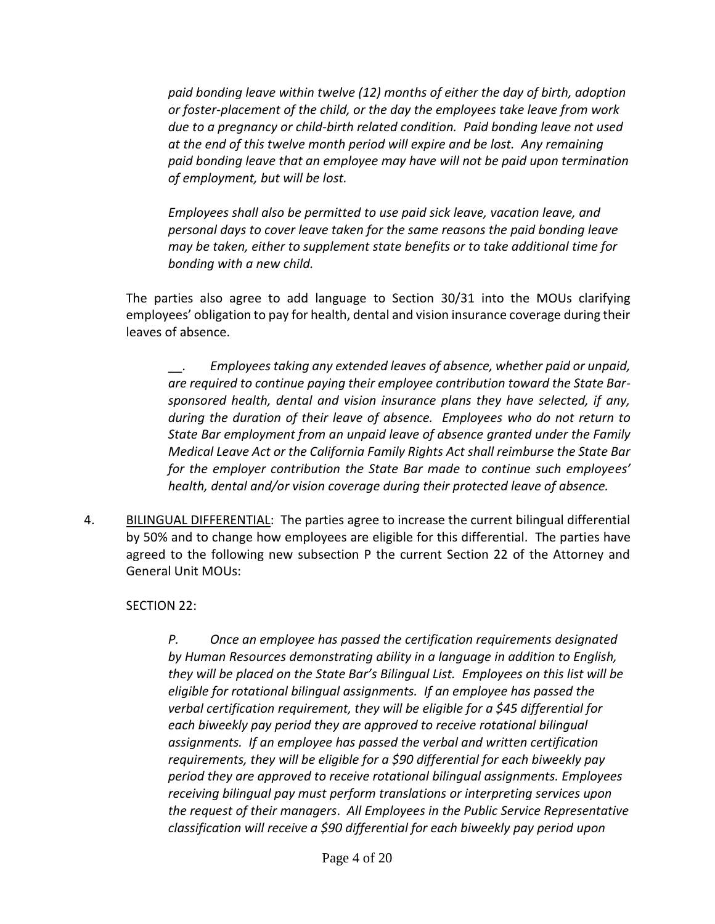*paid bonding leave within twelve (12) months of either the day of birth, adoption or foster-placement of the child, or the day the employees take leave from work due to a pregnancy or child-birth related condition. Paid bonding leave not used at the end of this twelve month period will expire and be lost. Any remaining paid bonding leave that an employee may have will not be paid upon termination of employment, but will be lost.* 

*Employees shall also be permitted to use paid sick leave, vacation leave, and personal days to cover leave taken for the same reasons the paid bonding leave may be taken, either to supplement state benefits or to take additional time for bonding with a new child.* 

The parties also agree to add language to Section 30/31 into the MOUs clarifying employees' obligation to pay for health, dental and vision insurance coverage during their leaves of absence.

\_\_. *Employees taking any extended leaves of absence, whether paid or unpaid, are required to continue paying their employee contribution toward the State Barsponsored health, dental and vision insurance plans they have selected, if any, during the duration of their leave of absence. Employees who do not return to State Bar employment from an unpaid leave of absence granted under the Family Medical Leave Act or the California Family Rights Act shall reimburse the State Bar for the employer contribution the State Bar made to continue such employees' health, dental and/or vision coverage during their protected leave of absence.* 

4. BILINGUAL DIFFERENTIAL: The parties agree to increase the current bilingual differential by 50% and to change how employees are eligible for this differential. The parties have agreed to the following new subsection P the current Section 22 of the Attorney and General Unit MOUs:

## SECTION 22:

*P. Once an employee has passed the certification requirements designated by Human Resources demonstrating ability in a language in addition to English, they will be placed on the State Bar's Bilingual List. Employees on this list will be eligible for rotational bilingual assignments. If an employee has passed the verbal certification requirement, they will be eligible for a \$45 differential for each biweekly pay period they are approved to receive rotational bilingual assignments. If an employee has passed the verbal and written certification requirements, they will be eligible for a \$90 differential for each biweekly pay period they are approved to receive rotational bilingual assignments. Employees receiving bilingual pay must perform translations or interpreting services upon the request of their managers*. *All Employees in the Public Service Representative classification will receive a \$90 differential for each biweekly pay period upon*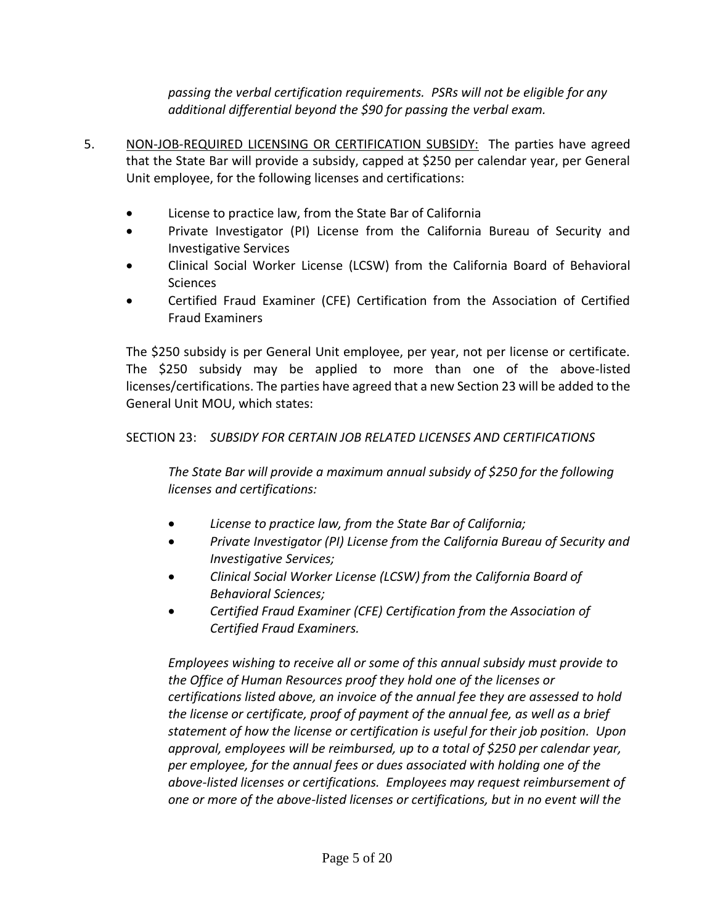*passing the verbal certification requirements. PSRs will not be eligible for any additional differential beyond the \$90 for passing the verbal exam.*

- 5. NON-JOB-REQUIRED LICENSING OR CERTIFICATION SUBSIDY: The parties have agreed that the State Bar will provide a subsidy, capped at \$250 per calendar year, per General Unit employee, for the following licenses and certifications:
	- License to practice law, from the State Bar of California
	- Private Investigator (PI) License from the California Bureau of Security and Investigative Services
	- Clinical Social Worker License (LCSW) from the California Board of Behavioral **Sciences**
	- Certified Fraud Examiner (CFE) Certification from the Association of Certified Fraud Examiners

The \$250 subsidy is per General Unit employee, per year, not per license or certificate. The \$250 subsidy may be applied to more than one of the above-listed licenses/certifications. The parties have agreed that a new Section 23 will be added to the General Unit MOU, which states:

# SECTION 23: *SUBSIDY FOR CERTAIN JOB RELATED LICENSES AND CERTIFICATIONS*

*The State Bar will provide a maximum annual subsidy of \$250 for the following licenses and certifications:*

- *License to practice law, from the State Bar of California;*
- *Private Investigator (PI) License from the California Bureau of Security and Investigative Services;*
- *Clinical Social Worker License (LCSW) from the California Board of Behavioral Sciences;*
- *Certified Fraud Examiner (CFE) Certification from the Association of Certified Fraud Examiners.*

*Employees wishing to receive all or some of this annual subsidy must provide to the Office of Human Resources proof they hold one of the licenses or certifications listed above, an invoice of the annual fee they are assessed to hold the license or certificate, proof of payment of the annual fee, as well as a brief statement of how the license or certification is useful for their job position. Upon approval, employees will be reimbursed, up to a total of \$250 per calendar year, per employee, for the annual fees or dues associated with holding one of the above-listed licenses or certifications. Employees may request reimbursement of one or more of the above-listed licenses or certifications, but in no event will the*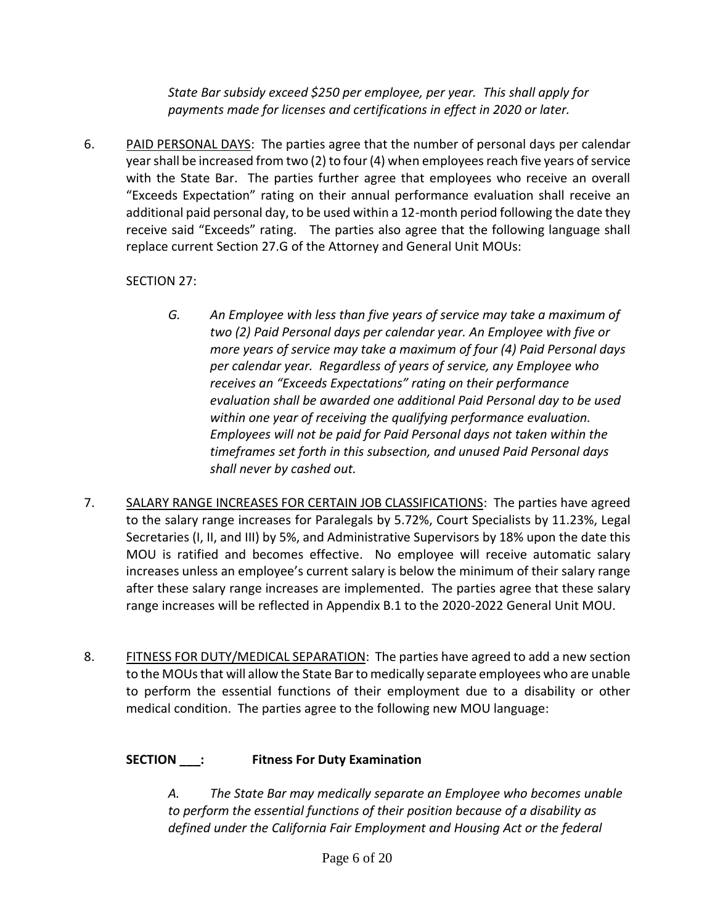*State Bar subsidy exceed \$250 per employee, per year. This shall apply for payments made for licenses and certifications in effect in 2020 or later.* 

6. PAID PERSONAL DAYS: The parties agree that the number of personal days per calendar year shall be increased from two (2) to four (4) when employees reach five years of service with the State Bar. The parties further agree that employees who receive an overall "Exceeds Expectation" rating on their annual performance evaluation shall receive an additional paid personal day, to be used within a 12-month period following the date they receive said "Exceeds" rating. The parties also agree that the following language shall replace current Section 27.G of the Attorney and General Unit MOUs:

# SECTION 27:

- *G. An Employee with less than five years of service may take a maximum of two (2) Paid Personal days per calendar year. An Employee with five or more years of service may take a maximum of four (4) Paid Personal days per calendar year. Regardless of years of service, any Employee who receives an "Exceeds Expectations" rating on their performance evaluation shall be awarded one additional Paid Personal day to be used within one year of receiving the qualifying performance evaluation. Employees will not be paid for Paid Personal days not taken within the timeframes set forth in this subsection, and unused Paid Personal days shall never by cashed out.*
- 7. SALARY RANGE INCREASES FOR CERTAIN JOB CLASSIFICATIONS: The parties have agreed to the salary range increases for Paralegals by 5.72%, Court Specialists by 11.23%, Legal Secretaries (I, II, and III) by 5%, and Administrative Supervisors by 18% upon the date this MOU is ratified and becomes effective. No employee will receive automatic salary increases unless an employee's current salary is below the minimum of their salary range after these salary range increases are implemented. The parties agree that these salary range increases will be reflected in Appendix B.1 to the 2020-2022 General Unit MOU.
- 8. FITNESS FOR DUTY/MEDICAL SEPARATION: The parties have agreed to add a new section to the MOUs that will allow the State Bar to medically separate employees who are unable to perform the essential functions of their employment due to a disability or other medical condition. The parties agree to the following new MOU language:

## **SECTION \_\_\_: Fitness For Duty Examination**

*A. The State Bar may medically separate an Employee who becomes unable to perform the essential functions of their position because of a disability as defined under the California Fair Employment and Housing Act or the federal*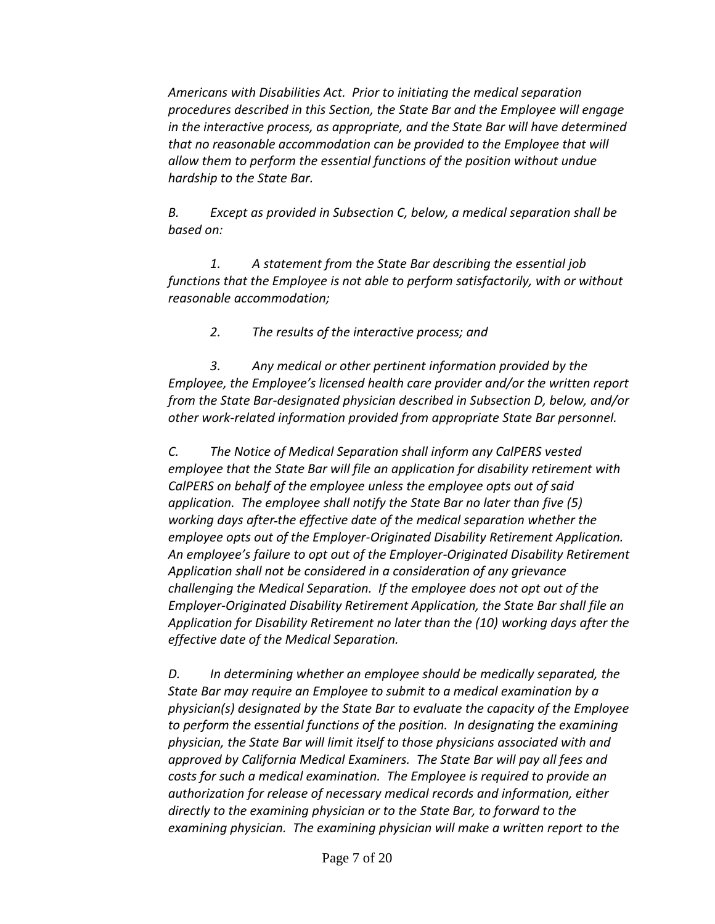*Americans with Disabilities Act. Prior to initiating the medical separation procedures described in this Section, the State Bar and the Employee will engage in the interactive process, as appropriate, and the State Bar will have determined that no reasonable accommodation can be provided to the Employee that will allow them to perform the essential functions of the position without undue hardship to the State Bar.*

*B. Except as provided in Subsection C, below, a medical separation shall be based on:*

*1. A statement from the State Bar describing the essential job functions that the Employee is not able to perform satisfactorily, with or without reasonable accommodation;* 

*2. The results of the interactive process; and* 

*3. Any medical or other pertinent information provided by the Employee, the Employee's licensed health care provider and/or the written report from the State Bar-designated physician described in Subsection D, below, and/or other work-related information provided from appropriate State Bar personnel.*

*C. The Notice of Medical Separation shall inform any CalPERS vested employee that the State Bar will file an application for disability retirement with CalPERS on behalf of the employee unless the employee opts out of said application. The employee shall notify the State Bar no later than five (5) working days after the effective date of the medical separation whether the employee opts out of the Employer-Originated Disability Retirement Application. An employee's failure to opt out of the Employer-Originated Disability Retirement Application shall not be considered in a consideration of any grievance challenging the Medical Separation. If the employee does not opt out of the Employer-Originated Disability Retirement Application, the State Bar shall file an Application for Disability Retirement no later than the (10) working days after the effective date of the Medical Separation.* 

*D. In determining whether an employee should be medically separated, the State Bar may require an Employee to submit to a medical examination by a physician(s) designated by the State Bar to evaluate the capacity of the Employee to perform the essential functions of the position. In designating the examining physician, the State Bar will limit itself to those physicians associated with and approved by California Medical Examiners. The State Bar will pay all fees and costs for such a medical examination. The Employee is required to provide an authorization for release of necessary medical records and information, either directly to the examining physician or to the State Bar, to forward to the examining physician. The examining physician will make a written report to the*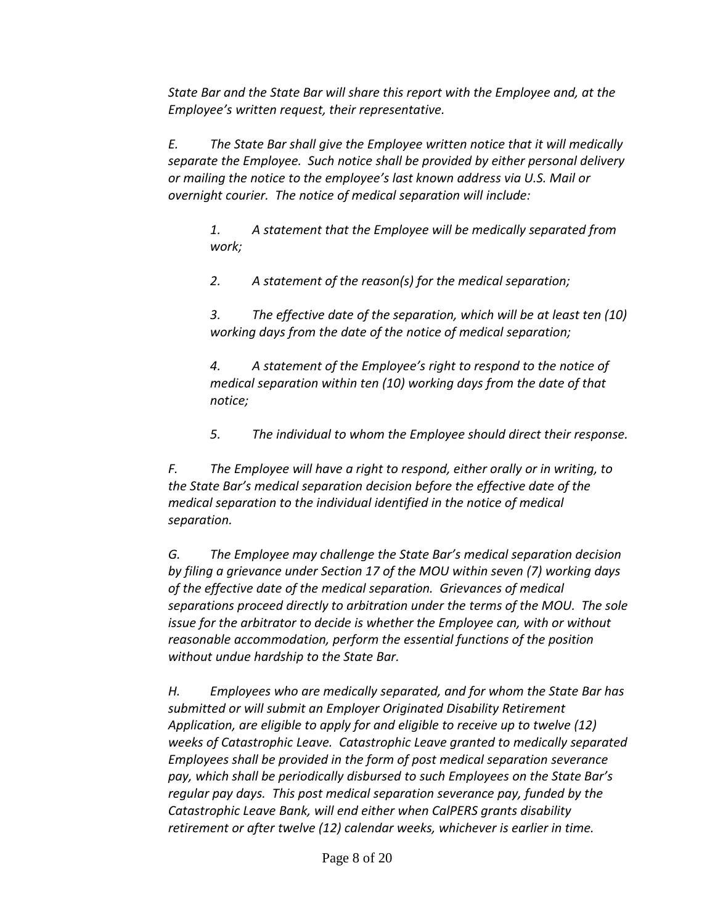*State Bar and the State Bar will share this report with the Employee and, at the Employee's written request, their representative.*

*E. The State Bar shall give the Employee written notice that it will medically separate the Employee. Such notice shall be provided by either personal delivery or mailing the notice to the employee's last known address via U.S. Mail or overnight courier. The notice of medical separation will include:*

*1. A statement that the Employee will be medically separated from work;*

*2. A statement of the reason(s) for the medical separation;* 

*3. The effective date of the separation, which will be at least ten (10) working days from the date of the notice of medical separation;*

*4. A statement of the Employee's right to respond to the notice of medical separation within ten (10) working days from the date of that notice;*

*5. The individual to whom the Employee should direct their response.*

*F. The Employee will have a right to respond, either orally or in writing, to the State Bar's medical separation decision before the effective date of the medical separation to the individual identified in the notice of medical separation.*

*G. The Employee may challenge the State Bar's medical separation decision by filing a grievance under Section 17 of the MOU within seven (7) working days of the effective date of the medical separation. Grievances of medical separations proceed directly to arbitration under the terms of the MOU. The sole issue for the arbitrator to decide is whether the Employee can, with or without reasonable accommodation, perform the essential functions of the position without undue hardship to the State Bar.*

*H. Employees who are medically separated, and for whom the State Bar has submitted or will submit an Employer Originated Disability Retirement Application, are eligible to apply for and eligible to receive up to twelve (12) weeks of Catastrophic Leave. Catastrophic Leave granted to medically separated Employees shall be provided in the form of post medical separation severance pay, which shall be periodically disbursed to such Employees on the State Bar's regular pay days. This post medical separation severance pay, funded by the Catastrophic Leave Bank, will end either when CalPERS grants disability retirement or after twelve (12) calendar weeks, whichever is earlier in time.*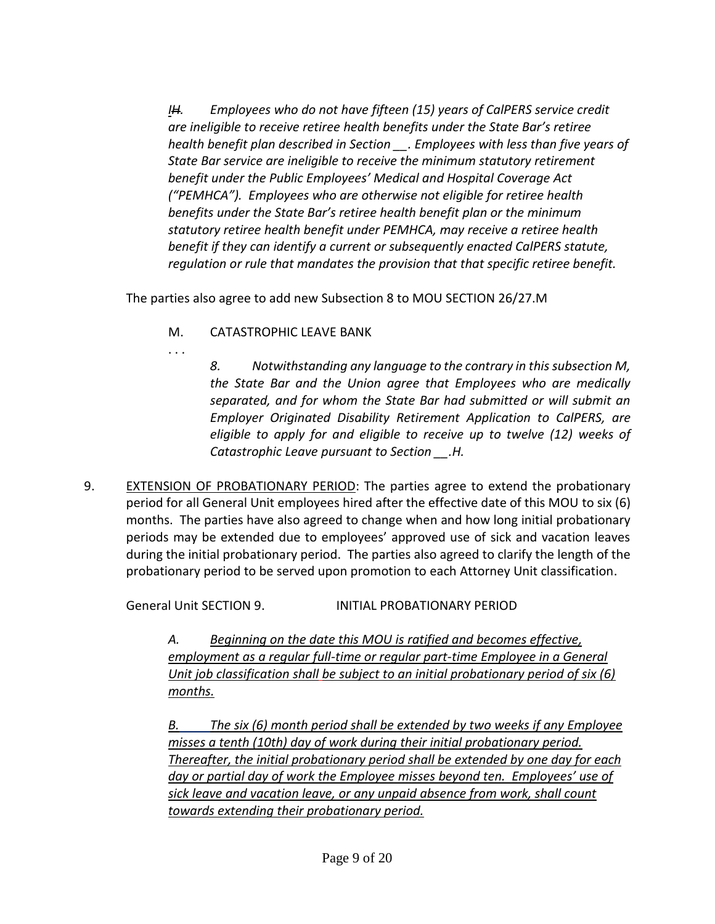*IH. Employees who do not have fifteen (15) years of CalPERS service credit are ineligible to receive retiree health benefits under the State Bar's retiree health benefit plan described in Section \_\_. Employees with less than five years of State Bar service are ineligible to receive the minimum statutory retirement benefit under the Public Employees' Medical and Hospital Coverage Act ("PEMHCA"). Employees who are otherwise not eligible for retiree health benefits under the State Bar's retiree health benefit plan or the minimum statutory retiree health benefit under PEMHCA, may receive a retiree health benefit if they can identify a current or subsequently enacted CalPERS statute, regulation or rule that mandates the provision that that specific retiree benefit.* 

The parties also agree to add new Subsection 8 to MOU SECTION 26/27.M

- M. CATASTROPHIC LEAVE BANK
- . . .

*8. Notwithstanding any language to the contrary in this subsection M, the State Bar and the Union agree that Employees who are medically separated, and for whom the State Bar had submitted or will submit an Employer Originated Disability Retirement Application to CalPERS, are eligible to apply for and eligible to receive up to twelve (12) weeks of Catastrophic Leave pursuant to Section \_\_.H.*

9. EXTENSION OF PROBATIONARY PERIOD: The parties agree to extend the probationary period for all General Unit employees hired after the effective date of this MOU to six (6) months. The parties have also agreed to change when and how long initial probationary periods may be extended due to employees' approved use of sick and vacation leaves during the initial probationary period. The parties also agreed to clarify the length of the probationary period to be served upon promotion to each Attorney Unit classification.

General Unit SECTION 9. INITIAL PROBATIONARY PERIOD

*A. Beginning on the date this MOU is ratified and becomes effective, employment as a regular full-time or regular part-time Employee in a General Unit job classification shall be subject to an initial probationary period of six (6) months.*

*B. The six (6) month period shall be extended by two weeks if any Employee misses a tenth (10th) day of work during their initial probationary period. Thereafter, the initial probationary period shall be extended by one day for each day or partial day of work the Employee misses beyond ten. Employees' use of sick leave and vacation leave, or any unpaid absence from work, shall count towards extending their probationary period.*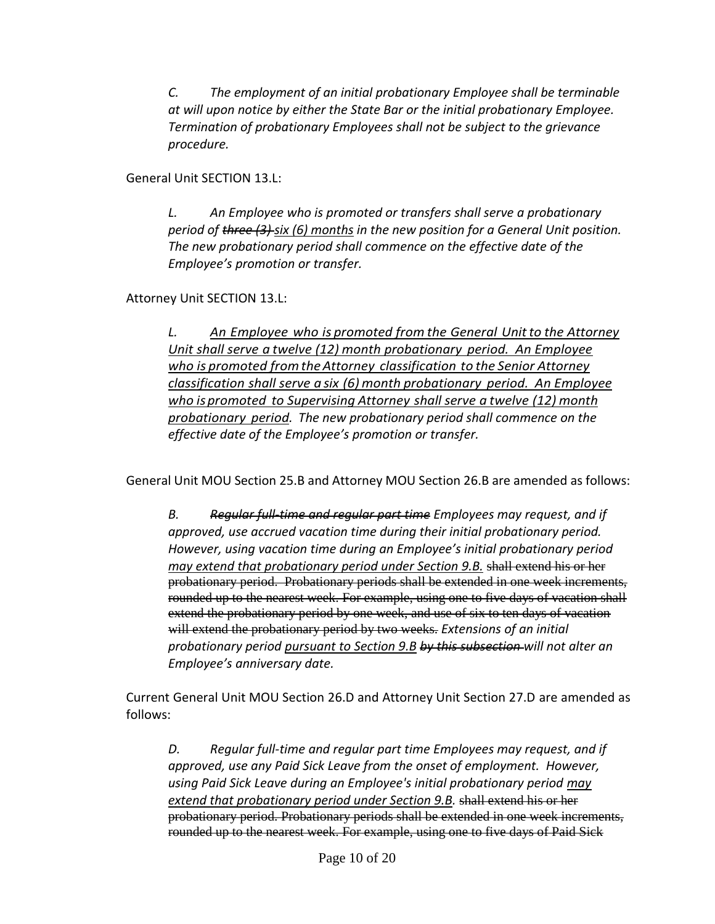*C. The employment of an initial probationary Employee shall be terminable at will upon notice by either the State Bar or the initial probationary Employee. Termination of probationary Employees shall not be subject to the grievance procedure.*

General Unit SECTION 13.L:

*L. An Employee who is promoted or transfers shall serve a probationary period of three (3) six (6) months in the new position for a General Unit position. The new probationary period shall commence on the effective date of the Employee's promotion or transfer.* 

Attorney Unit SECTION 13.L:

*L. An Employee who is promoted from the General Unitto the Attorney Unit shall serve a twelve (12) month probationary period. An Employee who is promoted fromtheAttorney classification to the Senior Attorney classification shall serve a six (6) month probationary period. An Employee who ispromoted to Supervising Attorney shall serve a twelve (12) month probationary period. The new probationary period shall commence on the effective date of the Employee's promotion or transfer.* 

General Unit MOU Section 25.B and Attorney MOU Section 26.B are amended as follows:

*B. Regular full-time and regular part time Employees may request, and if approved, use accrued vacation time during their initial probationary period. However, using vacation time during an Employee's initial probationary period may extend that probationary period under Section 9.B.* shall extend his or her probationary period. Probationary periods shall be extended in one week increments, rounded up to the nearest week. For example, using one to five days of vacation shall extend the probationary period by one week, and use of six to ten days of vacation will extend the probationary period by two weeks. *Extensions of an initial probationary period pursuant to Section 9.B by this subsection will not alter an Employee's anniversary date.*

Current General Unit MOU Section 26.D and Attorney Unit Section 27.D are amended as follows:

*D. Regular full-time and regular part time Employees may request, and if approved, use any Paid Sick Leave from the onset of employment. However, using Paid Sick Leave during an Employee's initial probationary period may*  extend that probationary period under Section 9.B. shall extend his or her probationary period. Probationary periods shall be extended in one week increments, rounded up to the nearest week. For example, using one to five days of Paid Sick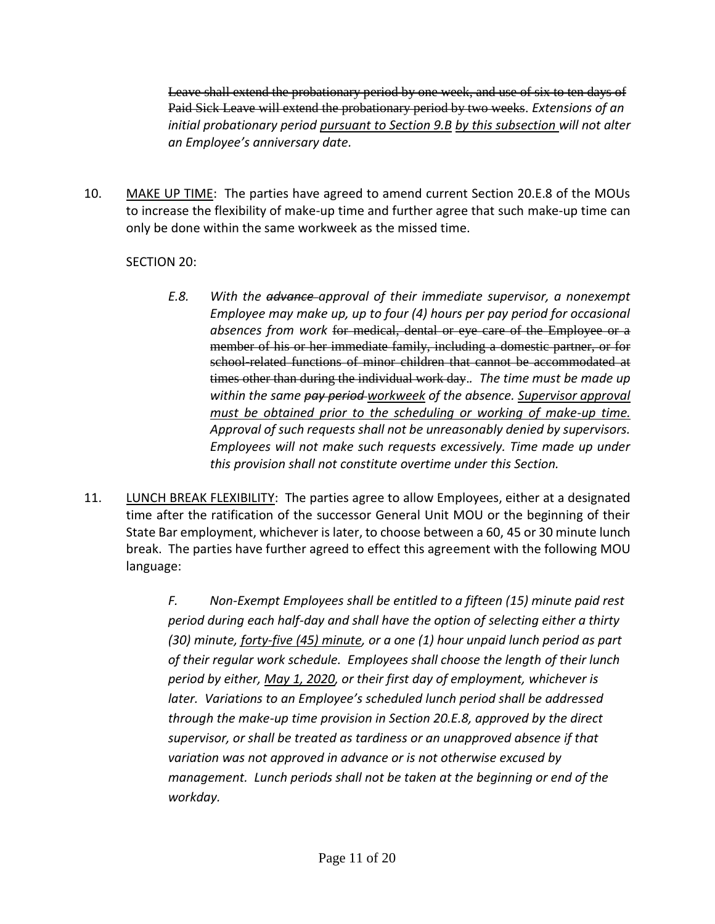Leave shall extend the probationary period by one week, and use of six to ten days of Paid Sick Leave will extend the probationary period by two weeks. *Extensions of an initial probationary period pursuant to Section 9.B by this subsection will not alter an Employee's anniversary date.*

10. MAKE UP TIME: The parties have agreed to amend current Section 20.E.8 of the MOUs to increase the flexibility of make-up time and further agree that such make-up time can only be done within the same workweek as the missed time.

# SECTION 20:

- *E.8. With the advance approval of their immediate supervisor, a nonexempt Employee may make up, up to four (4) hours per pay period for occasional absences from work* for medical, dental or eye care of the Employee or a member of his or her immediate family, including a domestic partner, or for school related functions of minor children that cannot be accommodated at times other than during the individual work day.*. The time must be made up within the same pay period workweek of the absence. Supervisor approval must be obtained prior to the scheduling or working of make-up time. Approval of such requests shall not be unreasonably denied by supervisors. Employees will not make such requests excessively. Time made up under this provision shall not constitute overtime under this Section.*
- 11. LUNCH BREAK FLEXIBILITY: The parties agree to allow Employees, either at a designated time after the ratification of the successor General Unit MOU or the beginning of their State Bar employment, whichever is later, to choose between a 60, 45 or 30 minute lunch break. The parties have further agreed to effect this agreement with the following MOU language:

*F. Non-Exempt Employees shall be entitled to a fifteen (15) minute paid rest period during each half-day and shall have the option of selecting either a thirty (30) minute, forty-five (45) minute, or a one (1) hour unpaid lunch period as part of their regular work schedule. Employees shall choose the length of their lunch period by either, May 1, 2020, or their first day of employment, whichever is later. Variations to an Employee's scheduled lunch period shall be addressed through the make-up time provision in Section 20.E.8, approved by the direct supervisor, or shall be treated as tardiness or an unapproved absence if that variation was not approved in advance or is not otherwise excused by management. Lunch periods shall not be taken at the beginning or end of the workday.*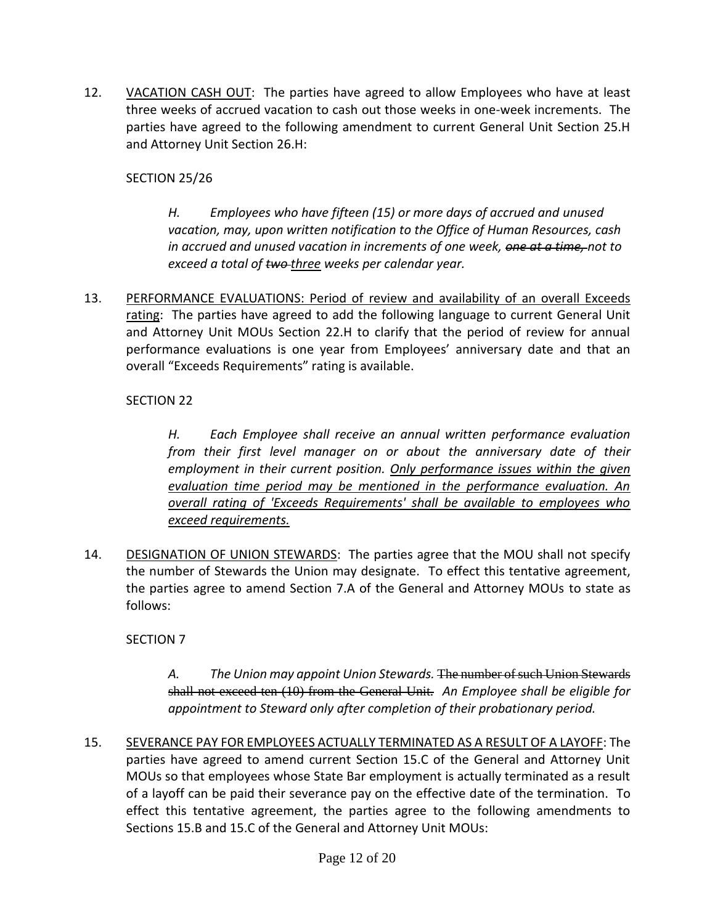12. VACATION CASH OUT: The parties have agreed to allow Employees who have at least three weeks of accrued vacation to cash out those weeks in one-week increments. The parties have agreed to the following amendment to current General Unit Section 25.H and Attorney Unit Section 26.H:

# SECTION 25/26

*H. Employees who have fifteen (15) or more days of accrued and unused vacation, may, upon written notification to the Office of Human Resources, cash in accrued and unused vacation in increments of one week, one at a time, not to exceed a total of two three weeks per calendar year.*

13. PERFORMANCE EVALUATIONS: Period of review and availability of an overall Exceeds rating: The parties have agreed to add the following language to current General Unit and Attorney Unit MOUs Section 22.H to clarify that the period of review for annual performance evaluations is one year from Employees' anniversary date and that an overall "Exceeds Requirements" rating is available.

# SECTION 22

*H. Each Employee shall receive an annual written performance evaluation from their first level manager on or about the anniversary date of their employment in their current position. Only performance issues within the given evaluation time period may be mentioned in the performance evaluation. An overall rating of 'Exceeds Requirements' shall be available to employees who exceed requirements.*

14. DESIGNATION OF UNION STEWARDS: The parties agree that the MOU shall not specify the number of Stewards the Union may designate. To effect this tentative agreement, the parties agree to amend Section 7.A of the General and Attorney MOUs to state as follows:

## SECTION 7

*A. The Union may appoint Union Stewards.* The number of such Union Stewards shall not exceed ten (10) from the General Unit. *An Employee shall be eligible for appointment to Steward only after completion of their probationary period.* 

15. SEVERANCE PAY FOR EMPLOYEES ACTUALLY TERMINATED AS A RESULT OF A LAYOFF: The parties have agreed to amend current Section 15.C of the General and Attorney Unit MOUs so that employees whose State Bar employment is actually terminated as a result of a layoff can be paid their severance pay on the effective date of the termination. To effect this tentative agreement, the parties agree to the following amendments to Sections 15.B and 15.C of the General and Attorney Unit MOUs: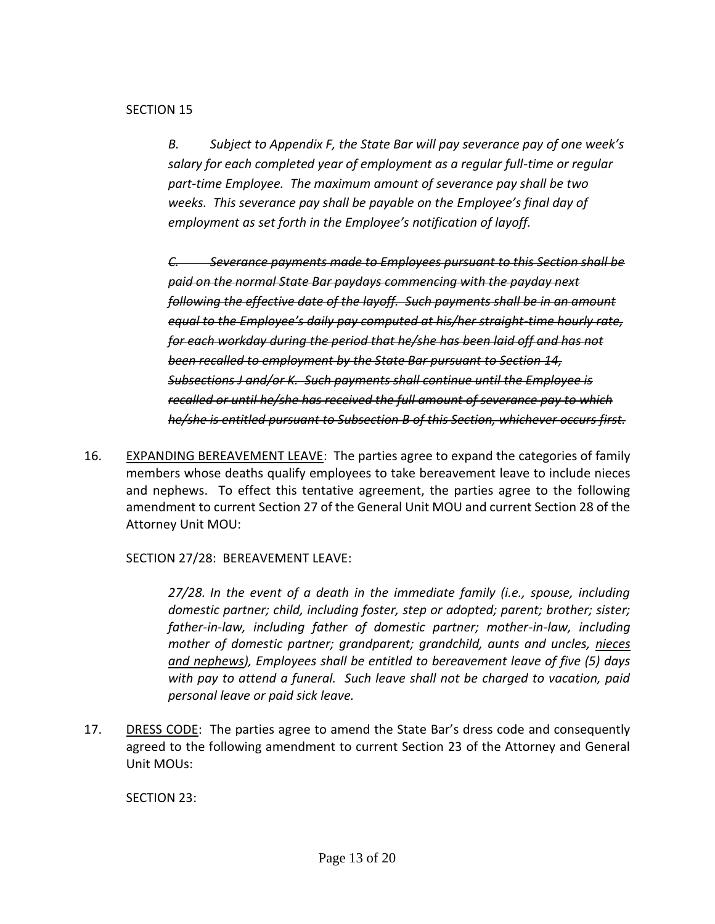### SECTION 15

*B. Subject to Appendix F, the State Bar will pay severance pay of one week's salary for each completed year of employment as a regular full-time or regular part-time Employee. The maximum amount of severance pay shall be two weeks. This severance pay shall be payable on the Employee's final day of employment as set forth in the Employee's notification of layoff.* 

*C. Severance payments made to Employees pursuant to this Section shall be paid on the normal State Bar paydays commencing with the payday next following the effective date of the layoff. Such payments shall be in an amount equal to the Employee's daily pay computed at his/her straight-time hourly rate, for each workday during the period that he/she has been laid off and has not been recalled to employment by the State Bar pursuant to Section 14, Subsections J and/or K. Such payments shall continue until the Employee is recalled or until he/she has received the full amount of severance pay to which he/she is entitled pursuant to Subsection B of this Section, whichever occurs first.*

16. EXPANDING BEREAVEMENT LEAVE: The parties agree to expand the categories of family members whose deaths qualify employees to take bereavement leave to include nieces and nephews. To effect this tentative agreement, the parties agree to the following amendment to current Section 27 of the General Unit MOU and current Section 28 of the Attorney Unit MOU:

SECTION 27/28: BEREAVEMENT LEAVE:

*27/28. In the event of a death in the immediate family (i.e., spouse, including domestic partner; child, including foster, step or adopted; parent; brother; sister; father-in-law, including father of domestic partner; mother-in-law, including mother of domestic partner; grandparent; grandchild, aunts and uncles, nieces and nephews), Employees shall be entitled to bereavement leave of five (5) days with pay to attend a funeral. Such leave shall not be charged to vacation, paid personal leave or paid sick leave.*

17. DRESS CODE: The parties agree to amend the State Bar's dress code and consequently agreed to the following amendment to current Section 23 of the Attorney and General Unit MOUs:

SECTION 23: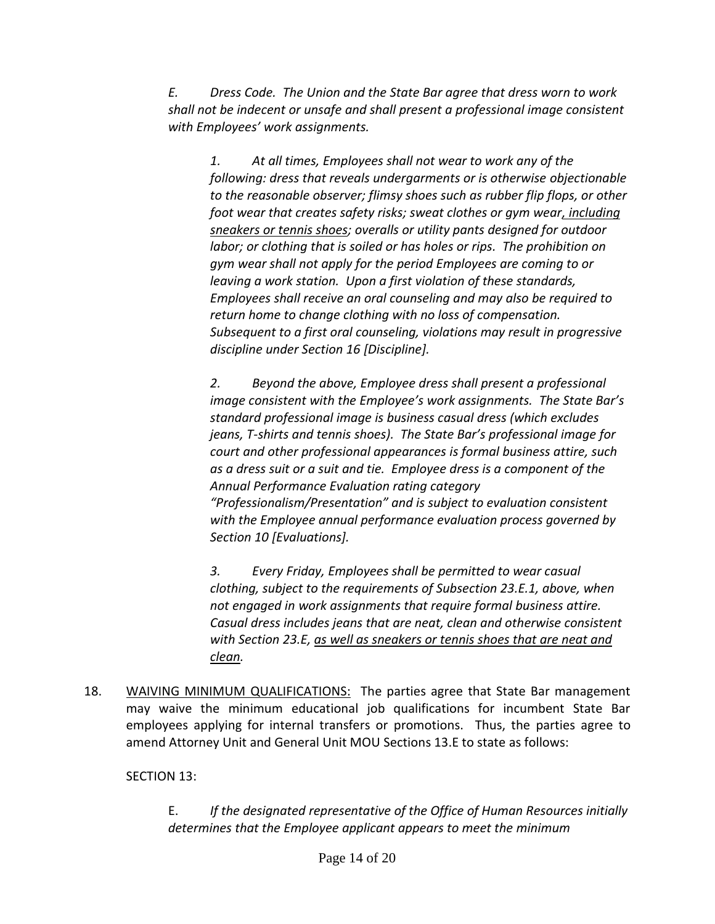*E. Dress Code. The Union and the State Bar agree that dress worn to work shall not be indecent or unsafe and shall present a professional image consistent with Employees' work assignments.*

*1. At all times, Employees shall not wear to work any of the following: dress that reveals undergarments or is otherwise objectionable to the reasonable observer; flimsy shoes such as rubber flip flops, or other foot wear that creates safety risks; sweat clothes or gym wear, including sneakers or tennis shoes; overalls or utility pants designed for outdoor labor; or clothing that is soiled or has holes or rips. The prohibition on gym wear shall not apply for the period Employees are coming to or leaving a work station. Upon a first violation of these standards, Employees shall receive an oral counseling and may also be required to return home to change clothing with no loss of compensation. Subsequent to a first oral counseling, violations may result in progressive discipline under Section 16 [Discipline].*

*2. Beyond the above, Employee dress shall present a professional image consistent with the Employee's work assignments. The State Bar's standard professional image is business casual dress (which excludes jeans, T-shirts and tennis shoes). The State Bar's professional image for court and other professional appearances is formal business attire, such as a dress suit or a suit and tie. Employee dress is a component of the Annual Performance Evaluation rating category "Professionalism/Presentation" and is subject to evaluation consistent with the Employee annual performance evaluation process governed by Section 10 [Evaluations].*

*3. Every Friday, Employees shall be permitted to wear casual clothing, subject to the requirements of Subsection 23.E.1, above, when not engaged in work assignments that require formal business attire. Casual dress includes jeans that are neat, clean and otherwise consistent with Section 23.E, as well as sneakers or tennis shoes that are neat and clean.* 

18. WAIVING MINIMUM QUALIFICATIONS: The parties agree that State Bar management may waive the minimum educational job qualifications for incumbent State Bar employees applying for internal transfers or promotions. Thus, the parties agree to amend Attorney Unit and General Unit MOU Sections 13.E to state as follows:

# SECTION 13:

E. *If the designated representative of the Office of Human Resources initially determines that the Employee applicant appears to meet the minimum*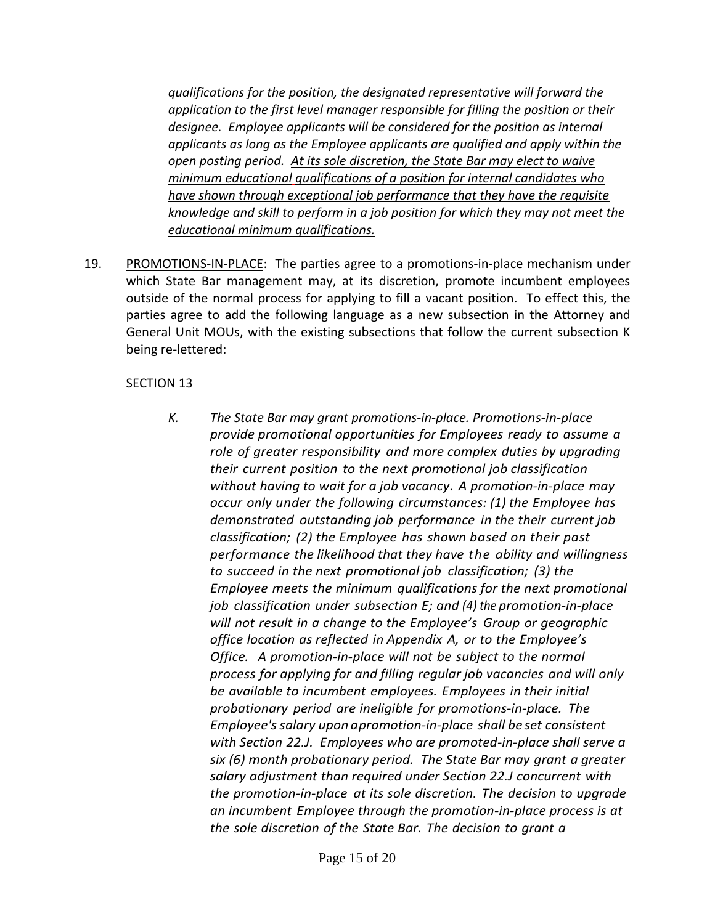*qualifications for the position, the designated representative will forward the application to the first level manager responsible for filling the position or their designee. Employee applicants will be considered for the position as internal applicants as long as the Employee applicants are qualified and apply within the open posting period. At its sole discretion, the State Bar may elect to waive minimum educational qualifications of a position for internal candidates who have shown through exceptional job performance that they have the requisite knowledge and skill to perform in a job position for which they may not meet the educational minimum qualifications.*

19. PROMOTIONS-IN-PLACE: The parties agree to a promotions-in-place mechanism under which State Bar management may, at its discretion, promote incumbent employees outside of the normal process for applying to fill a vacant position. To effect this, the parties agree to add the following language as a new subsection in the Attorney and General Unit MOUs, with the existing subsections that follow the current subsection K being re-lettered:

### SECTION 13

*K. The State Bar may grant promotions-in-place. Promotions-in-place provide promotional opportunities for Employees ready to assume a role of greater responsibility and more complex duties by upgrading their current position to the next promotional job classification without having to wait for a job vacancy. A promotion-in-place may occur only under the following circumstances: (1) the Employee has demonstrated outstanding job performance in the their current job classification; (2) the Employee has shown based on their past performance the likelihood that they have the ability and willingness to succeed in the next promotional job classification; (3) the Employee meets the minimum qualifications for the next promotional job classification under subsection E; and (4) the promotion-in-place will not result in a change to the Employee's Group or geographic office location as reflected in Appendix A, or to the Employee's Office. A promotion-in-place will not be subject to the normal process for applying for and filling regular job vacancies and will only be available to incumbent employees. Employees in their initial probationary period are ineligible for promotions-in-place. The Employee's salary upon a promotion-in-place shall be set consistent with Section 22.J. Employees who are promoted-in-place shall serve a six (6) month probationary period. The State Bar may grant a greater salary adjustment than required under Section 22.J concurrent with the promotion-in-place at its sole discretion. The decision to upgrade an incumbent Employee through the promotion-in-place process is at the sole discretion of the State Bar. The decision to grant a*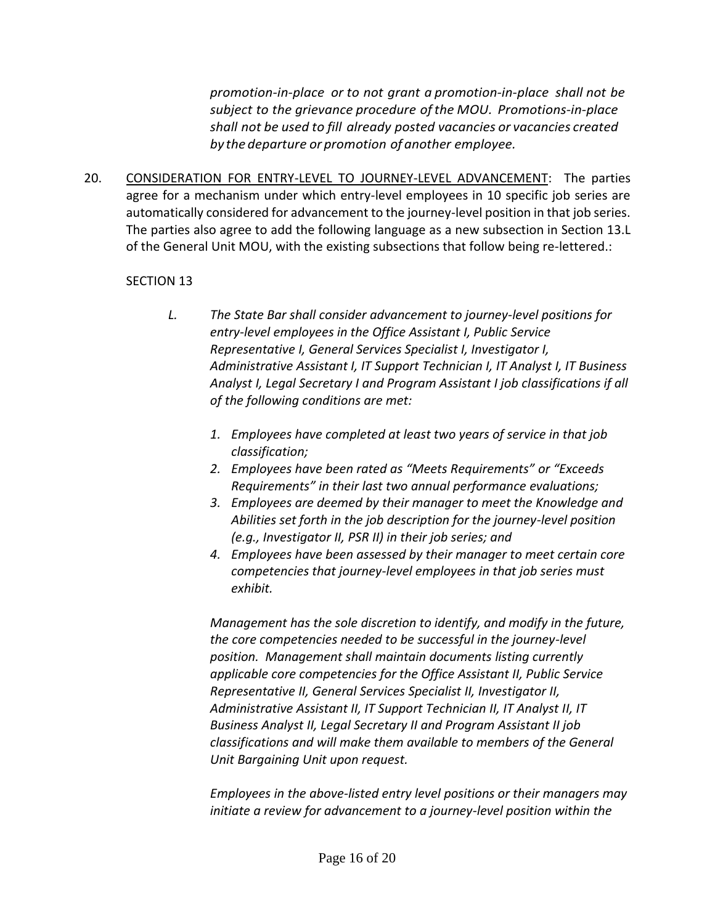*promotion-in-place or to not grant a promotion-in-place shall not be subject to the grievance procedure ofthe MOU. Promotions-in-place shall not be used to fill already posted vacancies or vacancies created by the departure or promotion of another employee.*

20. CONSIDERATION FOR ENTRY-LEVEL TO JOURNEY-LEVEL ADVANCEMENT: The parties agree for a mechanism under which entry-level employees in 10 specific job series are automatically considered for advancement to the journey-level position in that job series. The parties also agree to add the following language as a new subsection in Section 13.L of the General Unit MOU, with the existing subsections that follow being re-lettered.:

## SECTION 13

- *L. The State Bar shall consider advancement to journey-level positions for entry-level employees in the Office Assistant I, Public Service Representative I, General Services Specialist I, Investigator I, Administrative Assistant I, IT Support Technician I, IT Analyst I, IT Business Analyst I, Legal Secretary I and Program Assistant I job classifications if all of the following conditions are met:*
	- *1. Employees have completed at least two years of service in that job classification;*
	- *2. Employees have been rated as "Meets Requirements" or "Exceeds Requirements" in their last two annual performance evaluations;*
	- *3. Employees are deemed by their manager to meet the Knowledge and Abilities set forth in the job description for the journey-level position (e.g., Investigator II, PSR II) in their job series; and*
	- *4. Employees have been assessed by their manager to meet certain core competencies that journey-level employees in that job series must exhibit.*

*Management has the sole discretion to identify, and modify in the future, the core competencies needed to be successful in the journey-level position. Management shall maintain documents listing currently applicable core competencies for the Office Assistant II, Public Service Representative II, General Services Specialist II, Investigator II, Administrative Assistant II, IT Support Technician II, IT Analyst II, IT Business Analyst II, Legal Secretary II and Program Assistant II job classifications and will make them available to members of the General Unit Bargaining Unit upon request.*

*Employees in the above-listed entry level positions or their managers may initiate a review for advancement to a journey-level position within the*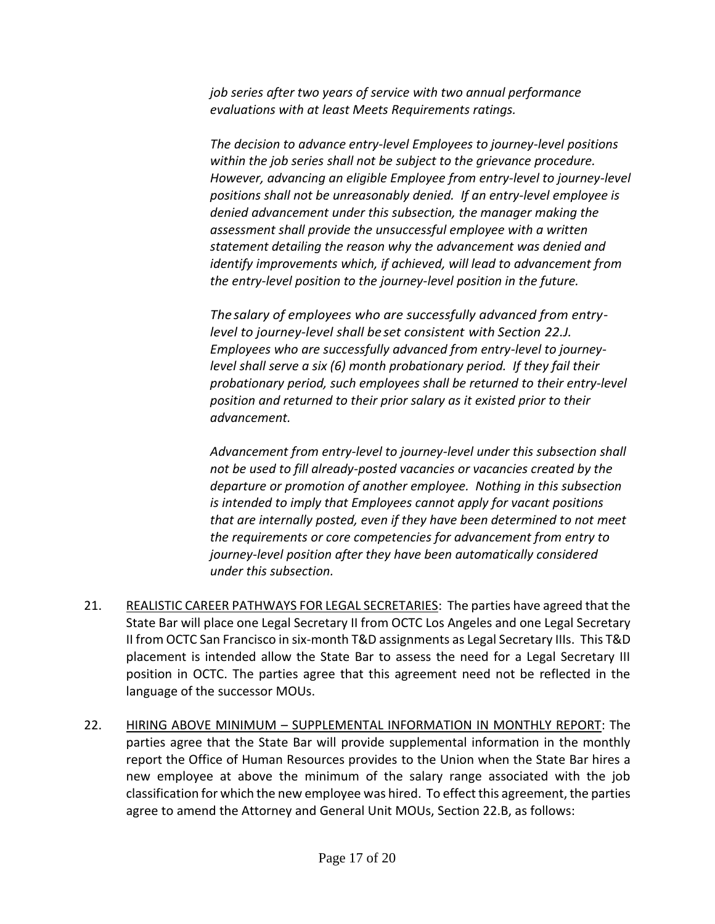*job series after two years of service with two annual performance evaluations with at least Meets Requirements ratings.* 

*The decision to advance entry-level Employees to journey-level positions within the job series shall not be subject to the grievance procedure. However, advancing an eligible Employee from entry-level to journey-level positions shall not be unreasonably denied. If an entry-level employee is denied advancement under this subsection, the manager making the assessment shall provide the unsuccessful employee with a written statement detailing the reason why the advancement was denied and identify improvements which, if achieved, will lead to advancement from the entry-level position to the journey-level position in the future.*

*The salary of employees who are successfully advanced from entrylevel to journey-level shall be set consistent with Section 22.J. Employees who are successfully advanced from entry-level to journeylevel shall serve a six (6) month probationary period. If they fail their probationary period, such employees shall be returned to their entry-level position and returned to their prior salary as it existed prior to their advancement.* 

*Advancement from entry-level to journey-level under this subsection shall not be used to fill already-posted vacancies or vacancies created by the departure or promotion of another employee. Nothing in this subsection is intended to imply that Employees cannot apply for vacant positions that are internally posted, even if they have been determined to not meet the requirements or core competencies for advancement from entry to journey-level position after they have been automatically considered under this subsection.*

- 21. REALISTIC CAREER PATHWAYS FOR LEGAL SECRETARIES: The parties have agreed that the State Bar will place one Legal Secretary II from OCTC Los Angeles and one Legal Secretary II from OCTC San Francisco in six-month T&D assignments as Legal Secretary IIIs. This T&D placement is intended allow the State Bar to assess the need for a Legal Secretary III position in OCTC. The parties agree that this agreement need not be reflected in the language of the successor MOUs.
- 22. HIRING ABOVE MINIMUM SUPPLEMENTAL INFORMATION IN MONTHLY REPORT: The parties agree that the State Bar will provide supplemental information in the monthly report the Office of Human Resources provides to the Union when the State Bar hires a new employee at above the minimum of the salary range associated with the job classification for which the new employee was hired. To effect this agreement, the parties agree to amend the Attorney and General Unit MOUs, Section 22.B, as follows: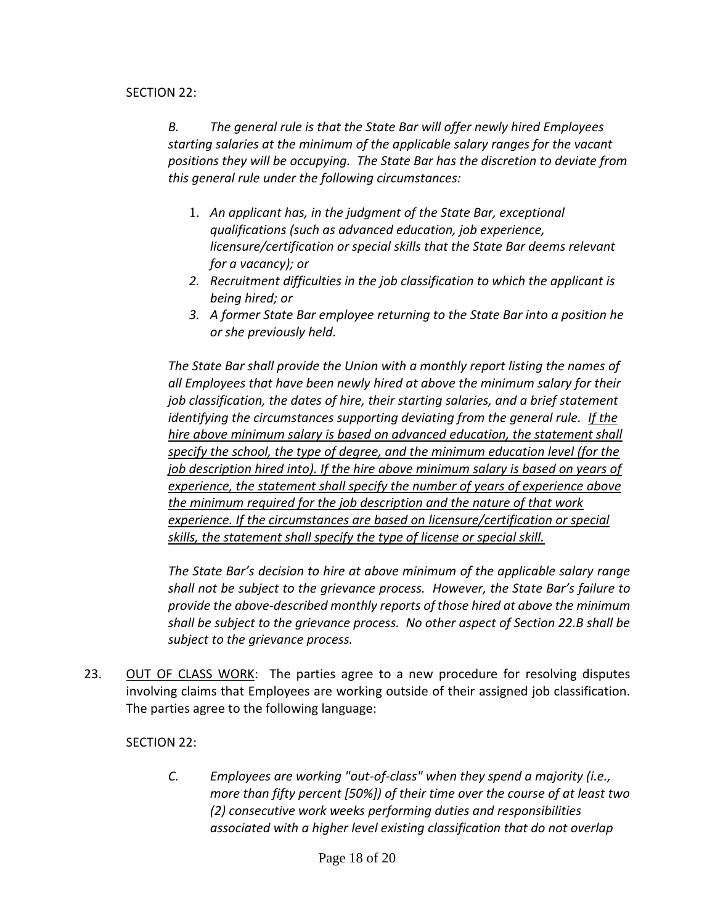### SECTION 22:

*B. The general rule is that the State Bar will offer newly hired Employees starting salaries at the minimum of the applicable salary ranges for the vacant positions they will be occupying. The State Bar has the discretion to deviate from this general rule under the following circumstances:*

- 1. *An applicant has, in the judgment of the State Bar, exceptional qualifications (such as advanced education, job experience, licensure/certification or special skills that the State Bar deems relevant for a vacancy); or*
- *2. Recruitment difficulties in the job classification to which the applicant is being hired; or*
- *3. A former State Bar employee returning to the State Bar into a position he or she previously held.*

*The State Bar shall provide the Union with a monthly report listing the names of all Employees that have been newly hired at above the minimum salary for their job classification, the dates of hire, their starting salaries, and a brief statement identifying the circumstances supporting deviating from the general rule. If the hire above minimum salary is based on advanced education, the statement shall specify the school, the type of degree, and the minimum education level (for the job description hired into). If the hire above minimum salary is based on years of experience, the statement shall specify the number of years of experience above the minimum required for the job description and the nature of that work experience. If the circumstances are based on licensure/certification or special skills, the statement shall specify the type of license or special skill.*

*The State Bar's decision to hire at above minimum of the applicable salary range shall not be subject to the grievance process. However, the State Bar's failure to provide the above-described monthly reports of those hired at above the minimum shall be subject to the grievance process. No other aspect of Section 22.B shall be subject to the grievance process.*

23. OUT OF CLASS WORK: The parties agree to a new procedure for resolving disputes involving claims that Employees are working outside of their assigned job classification. The parties agree to the following language:

## SECTION 22:

*C. Employees are working "out-of-class" when they spend a majority (i.e., more than fifty percent [50%]) of their time over the course of at least two (2) consecutive work weeks performing duties and responsibilities associated with a higher level existing classification that do not overlap*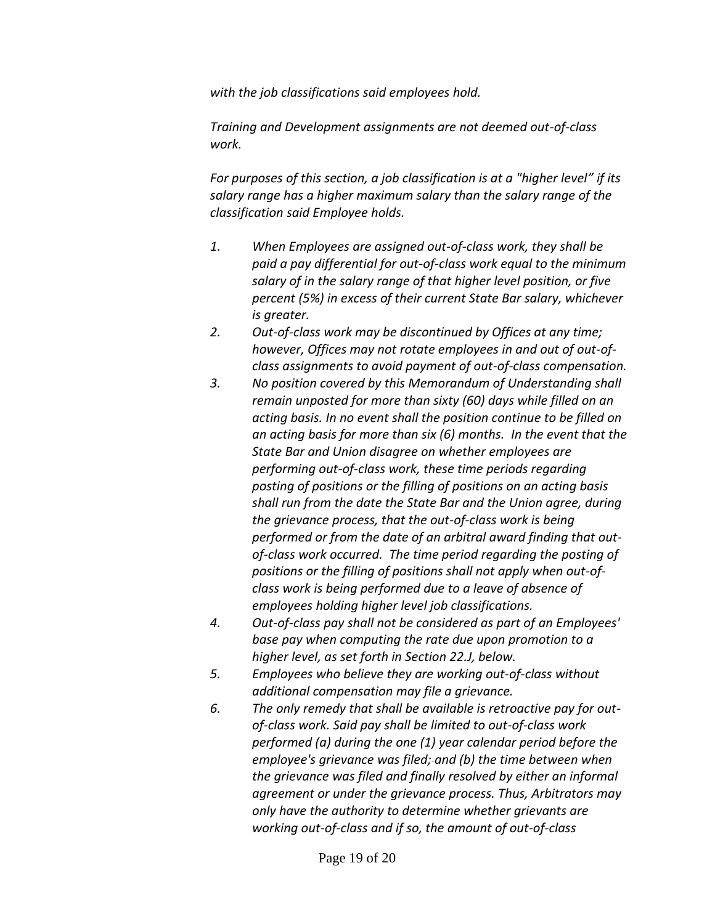*with the job classifications said employees hold.* 

*Training and Development assignments are not deemed out-of-class work.*

*For purposes of this section, a job classification is at a "higher level" if its salary range has a higher maximum salary than the salary range of the classification said Employee holds.*

- *1. When Employees are assigned out-of-class work, they shall be paid a pay differential for out-of-class work equal to the minimum salary of in the salary range of that higher level position, or five percent (5%) in excess of their current State Bar salary, whichever is greater.*
- *2. Out-of-class work may be discontinued by Offices at any time; however, Offices may not rotate employees in and out of out-ofclass assignments to avoid payment of out-of-class compensation.*
- *3. No position covered by this Memorandum of Understanding shall remain unposted for more than sixty (60) days while filled on an acting basis. In no event shall the position continue to be filled on an acting basis for more than six (6) months. In the event that the State Bar and Union disagree on whether employees are performing out-of-class work, these time periods regarding posting of positions or the filling of positions on an acting basis shall run from the date the State Bar and the Union agree, during the grievance process, that the out-of-class work is being performed or from the date of an arbitral award finding that outof-class work occurred. The time period regarding the posting of positions or the filling of positions shall not apply when out-ofclass work is being performed due to a leave of absence of employees holding higher level job classifications.*
- *4. Out-of-class pay shall not be considered as part of an Employees' base pay when computing the rate due upon promotion to a higher level, as set forth in Section 22.J, below.*
- *5. Employees who believe they are working out-of-class without additional compensation may file a grievance.*
- *6. The only remedy that shall be available is retroactive pay for outof-class work. Said pay shall be limited to out-of-class work performed (a) during the one (1) year calendar period before the employee's grievance was filed; and (b) the time between when the grievance was filed and finally resolved by either an informal agreement or under the grievance process. Thus, Arbitrators may only have the authority to determine whether grievants are working out-of-class and if so, the amount of out-of-class*